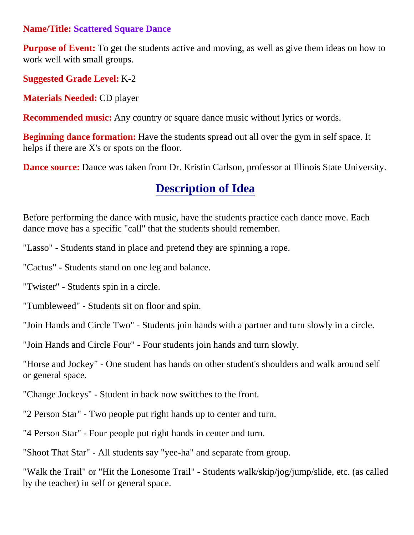#### **Name/Title: Scattered Square Dance**

**Purpose of Event:** To get the students active and moving, as well as give them ideas on how to work well with small groups.

**Suggested Grade Level:** K-2

**Materials Needed:** CD player

**Recommended music:** Any country or square dance music without lyrics or words.

**Beginning dance formation:** Have the students spread out all over the gym in self space. It helps if there are X's or spots on the floor.

**Dance source:** Dance was taken from Dr. Kristin Carlson, professor at Illinois State University.

# **Description of Idea**

Before performing the dance with music, have the students practice each dance move. Each dance move has a specific "call" that the students should remember.

"Lasso" - Students stand in place and pretend they are spinning a rope.

"Cactus" - Students stand on one leg and balance.

"Twister" - Students spin in a circle.

"Tumbleweed" - Students sit on floor and spin.

"Join Hands and Circle Two" - Students join hands with a partner and turn slowly in a circle.

"Join Hands and Circle Four" - Four students join hands and turn slowly.

"Horse and Jockey" - One student has hands on other student's shoulders and walk around self or general space.

"Change Jockeys" - Student in back now switches to the front.

"2 Person Star" - Two people put right hands up to center and turn.

"4 Person Star" - Four people put right hands in center and turn.

"Shoot That Star" - All students say "yee-ha" and separate from group.

"Walk the Trail" or "Hit the Lonesome Trail" - Students walk/skip/jog/jump/slide, etc. (as called by the teacher) in self or general space.